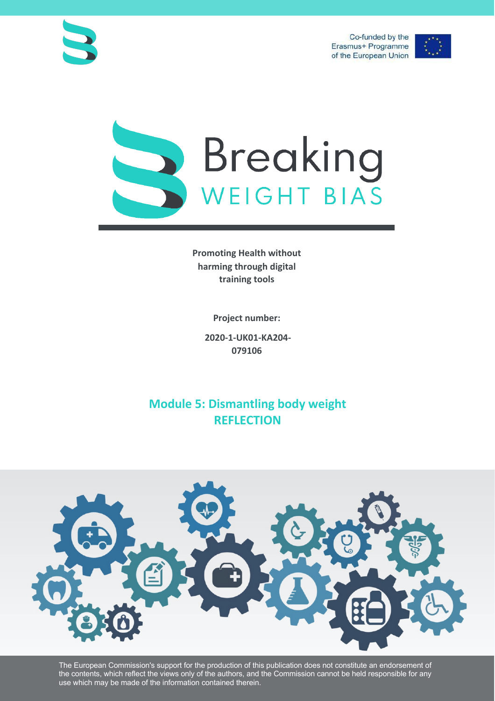Co-funded by the Erasmus+ Programme of the European Union







**Promoting Health without harming through digital training tools**

**Project number:**

**2020-1-UK01-KA204- 079106**

**Module 5: Dismantling body weight REFLECTION**



The European Commission's support for the production of this publication does not constitute an endorsement of the contents, which reflect the views only of the authors, and the Commission cannot be held responsible for any use which may be made of the information contained therein.